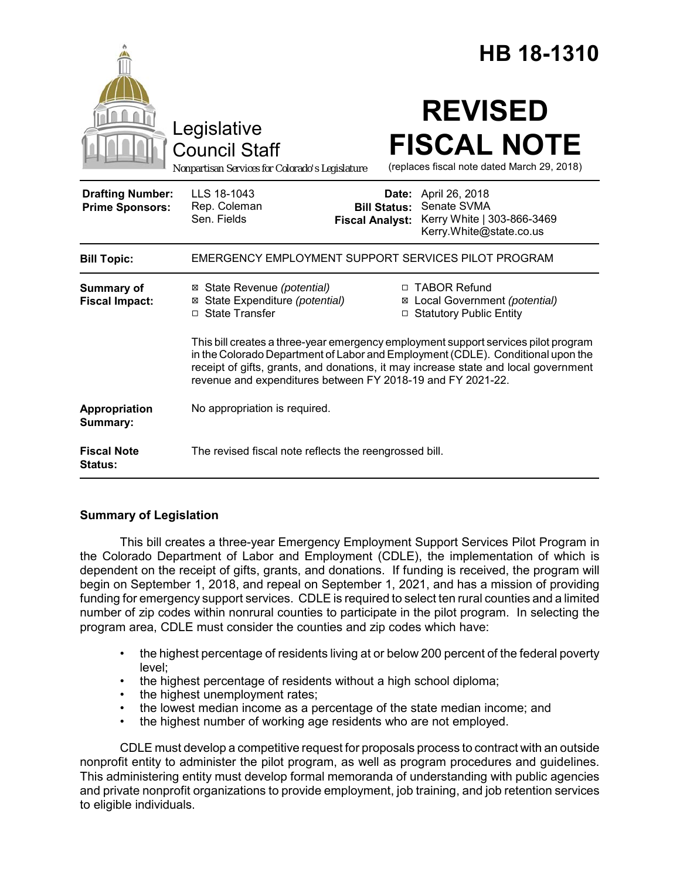|                                                   |                                                                                                                                                                                                                                                                                                                             |       | HB 18-1310                                                                             |
|---------------------------------------------------|-----------------------------------------------------------------------------------------------------------------------------------------------------------------------------------------------------------------------------------------------------------------------------------------------------------------------------|-------|----------------------------------------------------------------------------------------|
|                                                   | Legislative<br><b>Council Staff</b><br>Nonpartisan Services for Colorado's Legislature                                                                                                                                                                                                                                      |       | <b>REVISED</b><br><b>FISCAL NOTE</b><br>(replaces fiscal note dated March 29, 2018)    |
| <b>Drafting Number:</b><br><b>Prime Sponsors:</b> | LLS 18-1043<br>Rep. Coleman<br><b>Bill Status:</b><br>Sen. Fields<br><b>Fiscal Analyst:</b>                                                                                                                                                                                                                                 | Date: | April 26, 2018<br>Senate SVMA<br>Kerry White   303-866-3469<br>Kerry.White@state.co.us |
| <b>Bill Topic:</b>                                | EMERGENCY EMPLOYMENT SUPPORT SERVICES PILOT PROGRAM                                                                                                                                                                                                                                                                         |       |                                                                                        |
| <b>Summary of</b><br><b>Fiscal Impact:</b>        | ⊠ State Revenue (potential)<br>⊠ State Expenditure (potential)<br>□ State Transfer                                                                                                                                                                                                                                          |       | □ TABOR Refund<br>⊠ Local Government (potential)<br>□ Statutory Public Entity          |
|                                                   | This bill creates a three-year emergency employment support services pilot program<br>in the Colorado Department of Labor and Employment (CDLE). Conditional upon the<br>receipt of gifts, grants, and donations, it may increase state and local government<br>revenue and expenditures between FY 2018-19 and FY 2021-22. |       |                                                                                        |
| <b>Appropriation</b><br>Summary:                  | No appropriation is required.                                                                                                                                                                                                                                                                                               |       |                                                                                        |
| <b>Fiscal Note</b><br>Status:                     | The revised fiscal note reflects the reengrossed bill.                                                                                                                                                                                                                                                                      |       |                                                                                        |

# **Summary of Legislation**

This bill creates a three-year Emergency Employment Support Services Pilot Program in the Colorado Department of Labor and Employment (CDLE), the implementation of which is dependent on the receipt of gifts, grants, and donations. If funding is received, the program will begin on September 1, 2018, and repeal on September 1, 2021, and has a mission of providing funding for emergency support services. CDLE is required to select ten rural counties and a limited number of zip codes within nonrural counties to participate in the pilot program. In selecting the program area, CDLE must consider the counties and zip codes which have:

- the highest percentage of residents living at or below 200 percent of the federal poverty level;
- the highest percentage of residents without a high school diploma;
- the highest unemployment rates;
- the lowest median income as a percentage of the state median income; and
- the highest number of working age residents who are not employed.

CDLE must develop a competitive request for proposals process to contract with an outside nonprofit entity to administer the pilot program, as well as program procedures and guidelines. This administering entity must develop formal memoranda of understanding with public agencies and private nonprofit organizations to provide employment, job training, and job retention services to eligible individuals.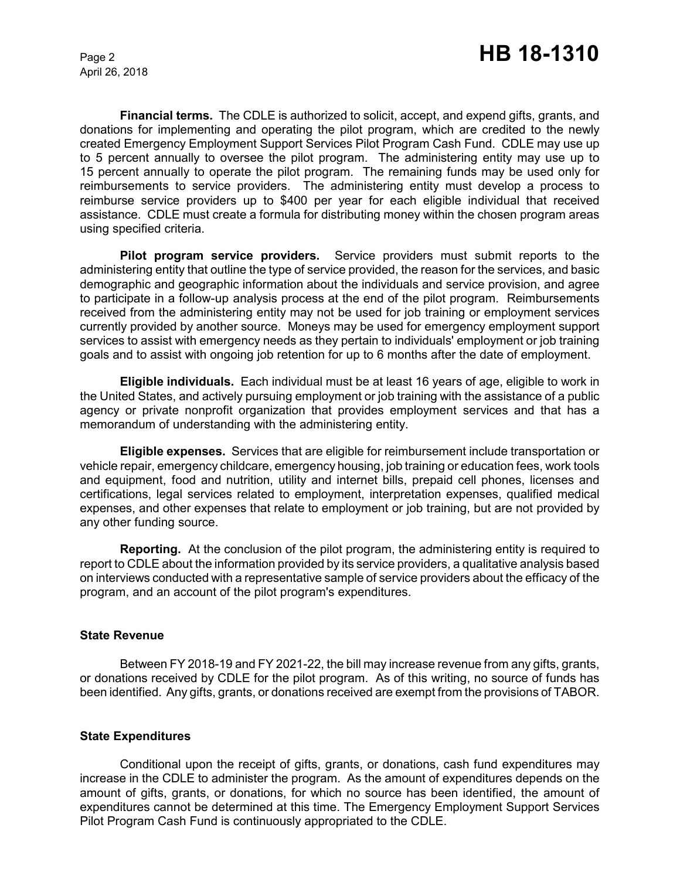April 26, 2018

**Financial terms.** The CDLE is authorized to solicit, accept, and expend gifts, grants, and donations for implementing and operating the pilot program, which are credited to the newly created Emergency Employment Support Services Pilot Program Cash Fund. CDLE may use up to 5 percent annually to oversee the pilot program. The administering entity may use up to 15 percent annually to operate the pilot program. The remaining funds may be used only for reimbursements to service providers. The administering entity must develop a process to reimburse service providers up to \$400 per year for each eligible individual that received assistance. CDLE must create a formula for distributing money within the chosen program areas using specified criteria.

**Pilot program service providers.** Service providers must submit reports to the administering entity that outline the type of service provided, the reason for the services, and basic demographic and geographic information about the individuals and service provision, and agree to participate in a follow-up analysis process at the end of the pilot program. Reimbursements received from the administering entity may not be used for job training or employment services currently provided by another source. Moneys may be used for emergency employment support services to assist with emergency needs as they pertain to individuals' employment or job training goals and to assist with ongoing job retention for up to 6 months after the date of employment.

**Eligible individuals.** Each individual must be at least 16 years of age, eligible to work in the United States, and actively pursuing employment or job training with the assistance of a public agency or private nonprofit organization that provides employment services and that has a memorandum of understanding with the administering entity.

**Eligible expenses.** Services that are eligible for reimbursement include transportation or vehicle repair, emergency childcare, emergency housing, job training or education fees, work tools and equipment, food and nutrition, utility and internet bills, prepaid cell phones, licenses and certifications, legal services related to employment, interpretation expenses, qualified medical expenses, and other expenses that relate to employment or job training, but are not provided by any other funding source.

**Reporting.** At the conclusion of the pilot program, the administering entity is required to report to CDLE about the information provided by its service providers, a qualitative analysis based on interviews conducted with a representative sample of service providers about the efficacy of the program, and an account of the pilot program's expenditures.

#### **State Revenue**

Between FY 2018-19 and FY 2021-22, the bill may increase revenue from any gifts, grants, or donations received by CDLE for the pilot program. As of this writing, no source of funds has been identified. Any gifts, grants, or donations received are exempt from the provisions of TABOR.

## **State Expenditures**

Conditional upon the receipt of gifts, grants, or donations, cash fund expenditures may increase in the CDLE to administer the program. As the amount of expenditures depends on the amount of gifts, grants, or donations, for which no source has been identified, the amount of expenditures cannot be determined at this time. The Emergency Employment Support Services Pilot Program Cash Fund is continuously appropriated to the CDLE.